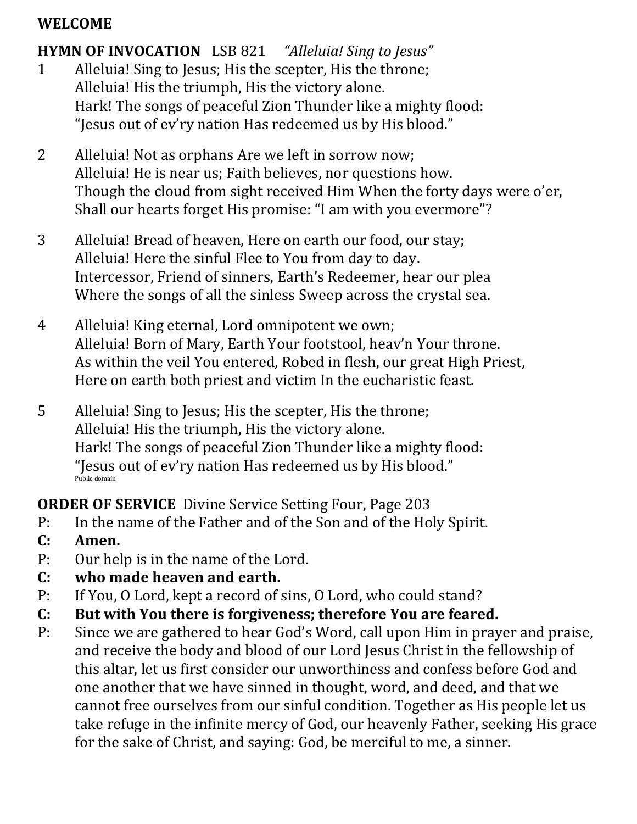#### **WELCOME**

# **HYMN OF INVOCATION** LSB 821 *"Alleluia! Sing to Jesus"*

- 1 Alleluia! Sing to Jesus; His the scepter, His the throne; Alleluia! His the triumph, His the victory alone. Hark! The songs of peaceful Zion Thunder like a mighty flood: "Jesus out of ev'ry nation Has redeemed us by His blood."
- 2 Alleluia! Not as orphans Are we left in sorrow now; Alleluia! He is near us; Faith believes, nor questions how. Though the cloud from sight received Him When the forty days were o'er, Shall our hearts forget His promise: "I am with you evermore"?
- 3 Alleluia! Bread of heaven, Here on earth our food, our stay; Alleluia! Here the sinful Flee to You from day to day. Intercessor, Friend of sinners, Earth's Redeemer, hear our plea Where the songs of all the sinless Sweep across the crystal sea.
- 4 Alleluia! King eternal, Lord omnipotent we own; Alleluia! Born of Mary, Earth Your footstool, heav'n Your throne. As within the veil You entered, Robed in flesh, our great High Priest, Here on earth both priest and victim In the eucharistic feast.
- 5 Alleluia! Sing to Jesus; His the scepter, His the throne; Alleluia! His the triumph, His the victory alone. Hark! The songs of peaceful Zion Thunder like a mighty flood: "Jesus out of ev'ry nation Has redeemed us by His blood." Public domain

**ORDER OF SERVICE** Divine Service Setting Four, Page 203

- P: In the name of the Father and of the Son and of the Holy Spirit.
- **C: Amen.**
- P: Our help is in the name of the Lord.
- **C: who made heaven and earth.**
- P: If You, O Lord, kept a record of sins, O Lord, who could stand?
- **C: But with You there is forgiveness; therefore You are feared.**
- P: Since we are gathered to hear God's Word, call upon Him in prayer and praise, and receive the body and blood of our Lord Jesus Christ in the fellowship of this altar, let us first consider our unworthiness and confess before God and one another that we have sinned in thought, word, and deed, and that we cannot free ourselves from our sinful condition. Together as His people let us take refuge in the infinite mercy of God, our heavenly Father, seeking His grace for the sake of Christ, and saying: God, be merciful to me, a sinner.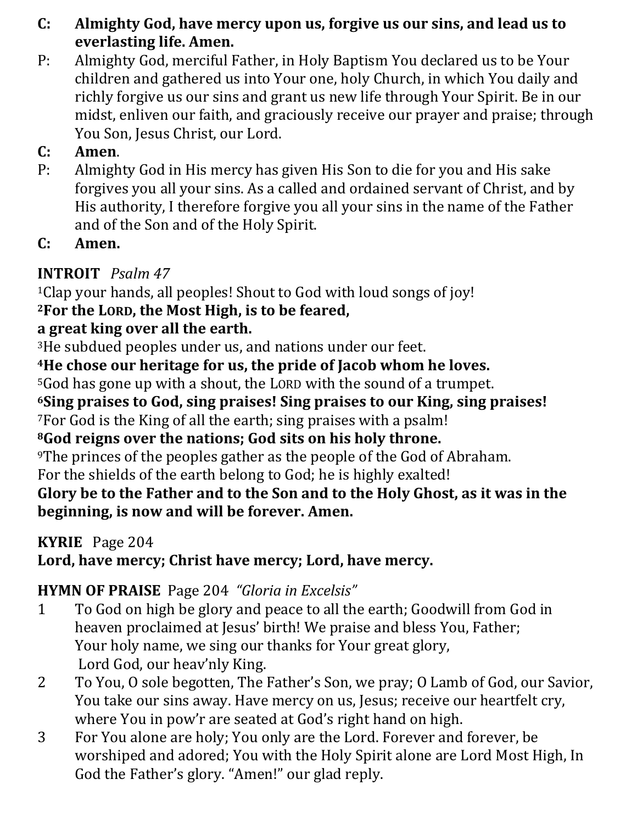- **C: Almighty God, have mercy upon us, forgive us our sins, and lead us to everlasting life. Amen.**
- P: Almighty God, merciful Father, in Holy Baptism You declared us to be Your children and gathered us into Your one, holy Church, in which You daily and richly forgive us our sins and grant us new life through Your Spirit. Be in our midst, enliven our faith, and graciously receive our prayer and praise; through You Son, Jesus Christ, our Lord.

## **C: Amen**.

- P: Almighty God in His mercy has given His Son to die for you and His sake forgives you all your sins. As a called and ordained servant of Christ, and by His authority, I therefore forgive you all your sins in the name of the Father and of the Son and of the Holy Spirit.
- **C: Amen.**

# **INTROIT** *Psalm 47*

<sup>1</sup>Clap your hands, all peoples! Shout to God with loud songs of joy! **<sup>2</sup>For the LORD, the Most High, is to be feared,** 

# **a great king over all the earth.**

<sup>3</sup>He subdued peoples under us, and nations under our feet.

## **<sup>4</sup>He chose our heritage for us, the pride of Jacob whom he loves.**

<sup>5</sup>God has gone up with a shout, the LORD with the sound of a trumpet.

**<sup>6</sup>Sing praises to God, sing praises! Sing praises to our King, sing praises!** <sup>7</sup>For God is the King of all the earth; sing praises with a psalm!

## **<sup>8</sup>God reigns over the nations; God sits on his holy throne.**

<sup>9</sup>The princes of the peoples gather as the people of the God of Abraham.

For the shields of the earth belong to God; he is highly exalted!

## **Glory be to the Father and to the Son and to the Holy Ghost, as it was in the beginning, is now and will be forever. Amen.**

# **KYRIE** Page 204

# **Lord, have mercy; Christ have mercy; Lord, have mercy.**

# **HYMN OF PRAISE** Page 204 *"Gloria in Excelsis"*

- 1 To God on high be glory and peace to all the earth; Goodwill from God in heaven proclaimed at Jesus' birth! We praise and bless You, Father; Your holy name, we sing our thanks for Your great glory, Lord God, our heav'nly King.
- 2 To You, O sole begotten, The Father's Son, we pray; O Lamb of God, our Savior, You take our sins away. Have mercy on us, Jesus; receive our heartfelt cry, where You in pow'r are seated at God's right hand on high.
- 3 For You alone are holy; You only are the Lord. Forever and forever, be worshiped and adored; You with the Holy Spirit alone are Lord Most High, In God the Father's glory. "Amen!" our glad reply.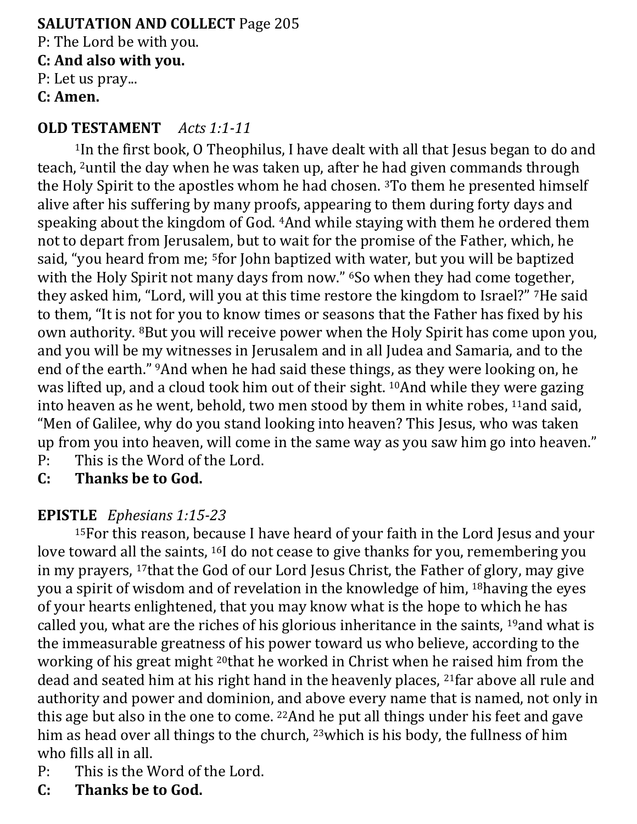#### **SALUTATION AND COLLECT** Page 205 P: The Lord be with you. **C: And also with you.** P: Let us pray... **C: Amen.**

#### **OLD TESTAMENT** *Acts 1:1-11*

<sup>1</sup>In the first book, O Theophilus, I have dealt with all that Jesus began to do and teach, 2until the day when he was taken up, after he had given commands through the Holy Spirit to the apostles whom he had chosen. 3To them he presented himself alive after his suffering by many proofs, appearing to them during forty days and speaking about the kingdom of God. 4And while staying with them he ordered them not to depart from Jerusalem, but to wait for the promise of the Father, which, he said, "you heard from me; 5for John baptized with water, but you will be baptized with the Holy Spirit not many days from now." <sup>6</sup>So when they had come together, they asked him, "Lord, will you at this time restore the kingdom to Israel?" 7He said to them, "It is not for you to know times or seasons that the Father has fixed by his own authority. 8But you will receive power when the Holy Spirit has come upon you, and you will be my witnesses in Jerusalem and in all Judea and Samaria, and to the end of the earth." 9And when he had said these things, as they were looking on, he was lifted up, and a cloud took him out of their sight. 10And while they were gazing into heaven as he went, behold, two men stood by them in white robes, 11and said, "Men of Galilee, why do you stand looking into heaven? This Jesus, who was taken up from you into heaven, will come in the same way as you saw him go into heaven." P: This is the Word of the Lord.

**C: Thanks be to God.**

#### **EPISTLE** *Ephesians 1:15-23*

<sup>15</sup>For this reason, because I have heard of your faith in the Lord Jesus and your love toward all the saints, 16I do not cease to give thanks for you, remembering you in my prayers, 17that the God of our Lord Jesus Christ, the Father of glory, may give you a spirit of wisdom and of revelation in the knowledge of him, 18having the eyes of your hearts enlightened, that you may know what is the hope to which he has called you, what are the riches of his glorious inheritance in the saints, 19and what is the immeasurable greatness of his power toward us who believe, according to the working of his great might 20that he worked in Christ when he raised him from the dead and seated him at his right hand in the heavenly places, <sup>21</sup>far above all rule and authority and power and dominion, and above every name that is named, not only in this age but also in the one to come. 22And he put all things under his feet and gave him as head over all things to the church, <sup>23</sup>which is his body, the fullness of him who fills all in all.

- P: This is the Word of the Lord.
- **C: Thanks be to God.**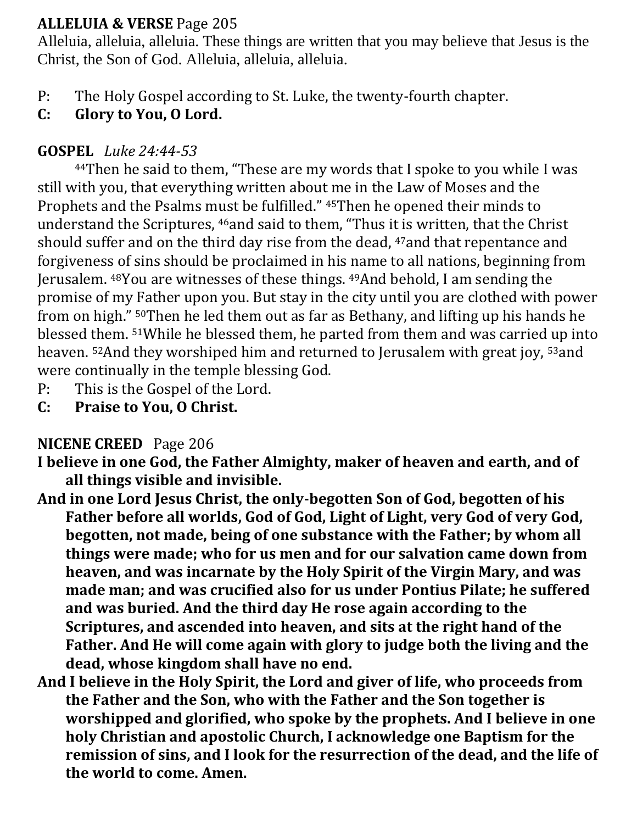#### **ALLELUIA & VERSE** Page 205

Alleluia, alleluia, alleluia. These things are written that you may believe that Jesus is the Christ, the Son of God. Alleluia, alleluia, alleluia.

- P: The Holy Gospel according to St. Luke, the twenty-fourth chapter.
- **C: Glory to You, O Lord.**

## **GOSPEL** *Luke 24:44-53*

<sup>44</sup>Then he said to them, "These are my words that I spoke to you while I was still with you, that everything written about me in the Law of Moses and the Prophets and the Psalms must be fulfilled." 45Then he opened their minds to understand the Scriptures, 46and said to them, "Thus it is written, that the Christ should suffer and on the third day rise from the dead, <sup>47</sup>and that repentance and forgiveness of sins should be proclaimed in his name to all nations, beginning from Jerusalem. 48You are witnesses of these things. 49And behold, I am sending the promise of my Father upon you. But stay in the city until you are clothed with power from on high." 50Then he led them out as far as Bethany, and lifting up his hands he blessed them. 51While he blessed them, he parted from them and was carried up into heaven. 52And they worshiped him and returned to Jerusalem with great joy, 53and were continually in the temple blessing God.

- P: This is the Gospel of the Lord.
- **C: Praise to You, O Christ.**

## **NICENE CREED** Page 206

- **I believe in one God, the Father Almighty, maker of heaven and earth, and of all things visible and invisible.**
- **And in one Lord Jesus Christ, the only-begotten Son of God, begotten of his Father before all worlds, God of God, Light of Light, very God of very God, begotten, not made, being of one substance with the Father; by whom all things were made; who for us men and for our salvation came down from heaven, and was incarnate by the Holy Spirit of the Virgin Mary, and was made man; and was crucified also for us under Pontius Pilate; he suffered and was buried. And the third day He rose again according to the Scriptures, and ascended into heaven, and sits at the right hand of the Father. And He will come again with glory to judge both the living and the dead, whose kingdom shall have no end.**
- **And I believe in the Holy Spirit, the Lord and giver of life, who proceeds from the Father and the Son, who with the Father and the Son together is worshipped and glorified, who spoke by the prophets. And I believe in one holy Christian and apostolic Church, I acknowledge one Baptism for the remission of sins, and I look for the resurrection of the dead, and the life of the world to come. Amen.**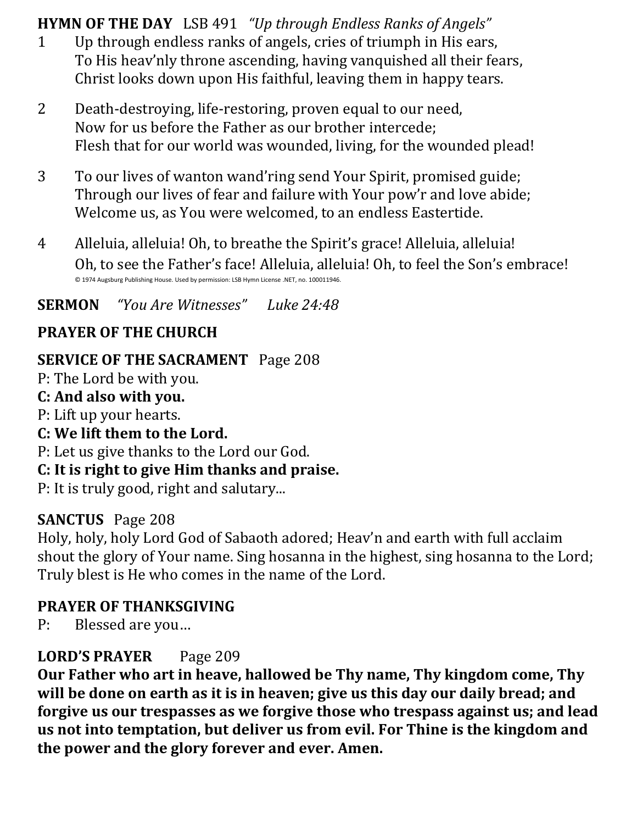**HYMN OF THE DAY** LSB 491 *"Up through Endless Ranks of Angels"*

- 1 Up through endless ranks of angels, cries of triumph in His ears, To His heav'nly throne ascending, having vanquished all their fears, Christ looks down upon His faithful, leaving them in happy tears.
- 2 Death-destroying, life-restoring, proven equal to our need, Now for us before the Father as our brother intercede; Flesh that for our world was wounded, living, for the wounded plead!
- 3 To our lives of wanton wand'ring send Your Spirit, promised guide; Through our lives of fear and failure with Your pow'r and love abide; Welcome us, as You were welcomed, to an endless Eastertide.
- 4 Alleluia, alleluia! Oh, to breathe the Spirit's grace! Alleluia, alleluia! Oh, to see the Father's face! Alleluia, alleluia! Oh, to feel the Son's embrace! © 1974 Augsburg Publishing House. Used by permission: LSB Hymn License .NET, no. 100011946.

**SERMON** *"You Are Witnesses" Luke 24:48*

## **PRAYER OF THE CHURCH**

## **SERVICE OF THE SACRAMENT** Page 208

P: The Lord be with you. **C: And also with you.** P: Lift up your hearts.

**C: We lift them to the Lord.**

P: Let us give thanks to the Lord our God.

## **C: It is right to give Him thanks and praise.**

P: It is truly good, right and salutary...

## **SANCTUS** Page 208

Holy, holy, holy Lord God of Sabaoth adored; Heav'n and earth with full acclaim shout the glory of Your name. Sing hosanna in the highest, sing hosanna to the Lord; Truly blest is He who comes in the name of the Lord.

## **PRAYER OF THANKSGIVING**

P: Blessed are you…

## **LORD'S PRAYER** Page 209

**Our Father who art in heave, hallowed be Thy name, Thy kingdom come, Thy will be done on earth as it is in heaven; give us this day our daily bread; and forgive us our trespasses as we forgive those who trespass against us; and lead us not into temptation, but deliver us from evil. For Thine is the kingdom and the power and the glory forever and ever. Amen.**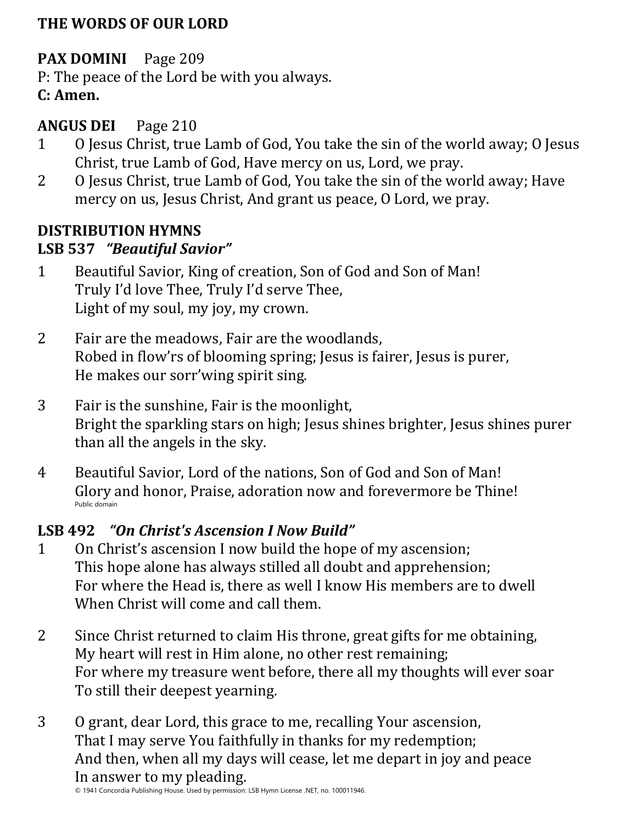#### **THE WORDS OF OUR LORD**

## **PAX DOMINI** Page 209

P: The peace of the Lord be with you always.

## **C: Amen.**

#### **ANGUS DEI** Page 210

- 1 O Jesus Christ, true Lamb of God, You take the sin of the world away; O Jesus Christ, true Lamb of God, Have mercy on us, Lord, we pray.
- 2 O Jesus Christ, true Lamb of God, You take the sin of the world away; Have mercy on us, Jesus Christ, And grant us peace, O Lord, we pray.

## **DISTRIBUTION HYMNS**

#### **LSB 537** *"Beautiful Savior"*

- 1 Beautiful Savior, King of creation, Son of God and Son of Man! Truly I'd love Thee, Truly I'd serve Thee, Light of my soul, my joy, my crown.
- 2 Fair are the meadows, Fair are the woodlands, Robed in flow'rs of blooming spring; Jesus is fairer, Jesus is purer, He makes our sorr'wing spirit sing.
- 3 Fair is the sunshine, Fair is the moonlight, Bright the sparkling stars on high; Jesus shines brighter, Jesus shines purer than all the angels in the sky.
- 4 Beautiful Savior, Lord of the nations, Son of God and Son of Man! Glory and honor, Praise, adoration now and forevermore be Thine! Public domain

## **LSB 492** *"On Christ's Ascension I Now Build"*

- 1 On Christ's ascension I now build the hope of my ascension; This hope alone has always stilled all doubt and apprehension; For where the Head is, there as well I know His members are to dwell When Christ will come and call them.
- 2 Since Christ returned to claim His throne, great gifts for me obtaining, My heart will rest in Him alone, no other rest remaining; For where my treasure went before, there all my thoughts will ever soar To still their deepest yearning.
- 3 O grant, dear Lord, this grace to me, recalling Your ascension, That I may serve You faithfully in thanks for my redemption; And then, when all my days will cease, let me depart in joy and peace In answer to my pleading.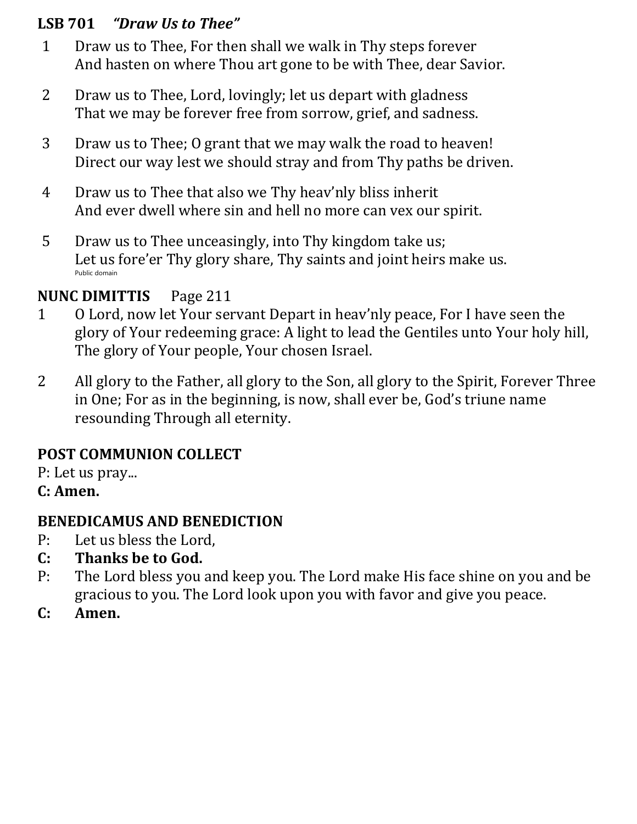#### **LSB 701** *"Draw Us to Thee"*

- 1 Draw us to Thee, For then shall we walk in Thy steps forever And hasten on where Thou art gone to be with Thee, dear Savior.
- 2 Draw us to Thee, Lord, lovingly; let us depart with gladness That we may be forever free from sorrow, grief, and sadness.
- 3 Draw us to Thee; O grant that we may walk the road to heaven! Direct our way lest we should stray and from Thy paths be driven.
- 4 Draw us to Thee that also we Thy heav'nly bliss inherit And ever dwell where sin and hell no more can vex our spirit.
- 5 Draw us to Thee unceasingly, into Thy kingdom take us; Let us fore'er Thy glory share, Thy saints and joint heirs make us. Public domain

## **NUNC DIMITTIS** Page 211

- 1 O Lord, now let Your servant Depart in heav'nly peace, For I have seen the glory of Your redeeming grace: A light to lead the Gentiles unto Your holy hill, The glory of Your people, Your chosen Israel.
- 2 All glory to the Father, all glory to the Son, all glory to the Spirit, Forever Three in One; For as in the beginning, is now, shall ever be, God's triune name resounding Through all eternity.

## **POST COMMUNION COLLECT**

P: Let us pray...

**C: Amen.**

## **BENEDICAMUS AND BENEDICTION**

- P: Let us bless the Lord,
- **C: Thanks be to God.**
- P: The Lord bless you and keep you. The Lord make His face shine on you and be gracious to you. The Lord look upon you with favor and give you peace.
- **C: Amen.**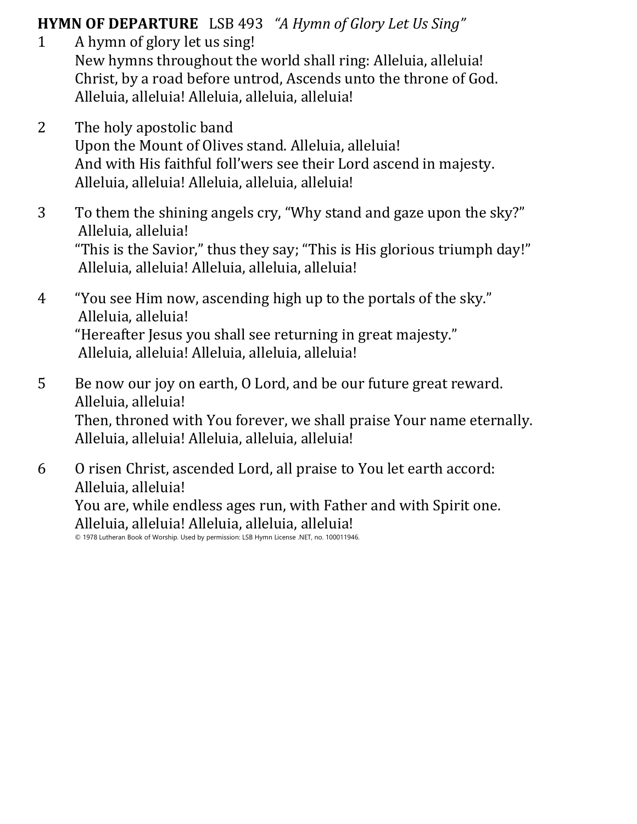#### **HYMN OF DEPARTURE** LSB 493 *"A Hymn of Glory Let Us Sing"*

- 1 A hymn of glory let us sing! New hymns throughout the world shall ring: Alleluia, alleluia! Christ, by a road before untrod, Ascends unto the throne of God. Alleluia, alleluia! Alleluia, alleluia, alleluia!
- 2 The holy apostolic band Upon the Mount of Olives stand. Alleluia, alleluia! And with His faithful foll'wers see their Lord ascend in majesty. Alleluia, alleluia! Alleluia, alleluia, alleluia!
- 3 To them the shining angels cry, "Why stand and gaze upon the sky?" Alleluia, alleluia! "This is the Savior," thus they say; "This is His glorious triumph day!" Alleluia, alleluia! Alleluia, alleluia, alleluia!
- 4 "You see Him now, ascending high up to the portals of the sky." Alleluia, alleluia! "Hereafter Jesus you shall see returning in great majesty." Alleluia, alleluia! Alleluia, alleluia, alleluia!
- 5 Be now our joy on earth, O Lord, and be our future great reward. Alleluia, alleluia! Then, throned with You forever, we shall praise Your name eternally. Alleluia, alleluia! Alleluia, alleluia, alleluia!
- 6 O risen Christ, ascended Lord, all praise to You let earth accord: Alleluia, alleluia! You are, while endless ages run, with Father and with Spirit one.

Alleluia, alleluia! Alleluia, alleluia, alleluia!

© 1978 Lutheran Book of Worship. Used by permission: LSB Hymn License .NET, no. 100011946.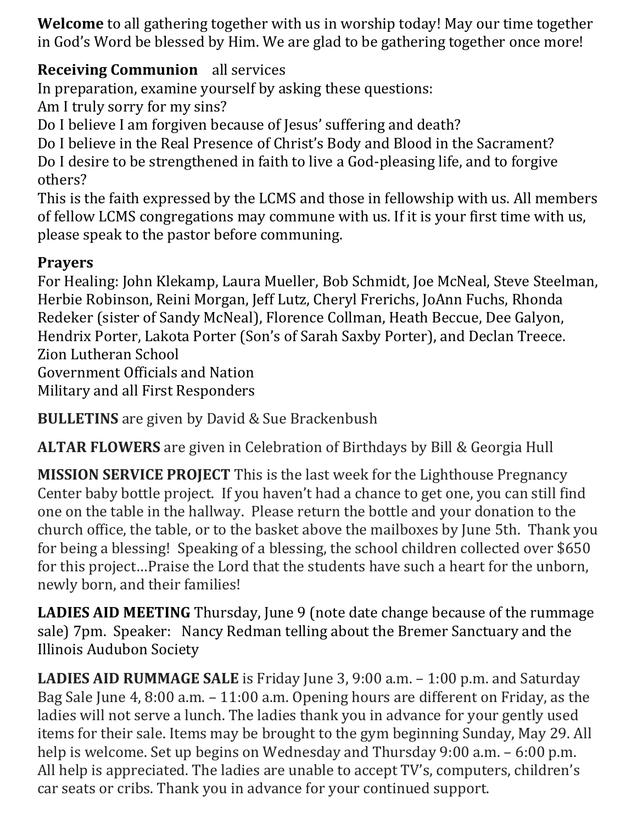**Welcome** to all gathering together with us in worship today! May our time together in God's Word be blessed by Him. We are glad to be gathering together once more!

## **Receiving Communion** all services

In preparation, examine yourself by asking these questions:

Am I truly sorry for my sins?

Do I believe I am forgiven because of Jesus' suffering and death?

Do I believe in the Real Presence of Christ's Body and Blood in the Sacrament? Do I desire to be strengthened in faith to live a God-pleasing life, and to forgive others?

This is the faith expressed by the LCMS and those in fellowship with us. All members of fellow LCMS congregations may commune with us. If it is your first time with us, please speak to the pastor before communing.

# **Prayers**

For Healing: John Klekamp, Laura Mueller, Bob Schmidt, Joe McNeal, Steve Steelman, Herbie Robinson, Reini Morgan, Jeff Lutz, Cheryl Frerichs, JoAnn Fuchs, Rhonda Redeker (sister of Sandy McNeal), Florence Collman, Heath Beccue, Dee Galyon, Hendrix Porter, Lakota Porter (Son's of Sarah Saxby Porter), and Declan Treece. Zion Lutheran School Government Officials and Nation Military and all First Responders

**BULLETINS** are given by David & Sue Brackenbush

**ALTAR FLOWERS** are given in Celebration of Birthdays by Bill & Georgia Hull

**MISSION SERVICE PROJECT** This is the last week for the Lighthouse Pregnancy Center baby bottle project. If you haven't had a chance to get one, you can still find one on the table in the hallway. Please return the bottle and your donation to the church office, the table, or to the basket above the mailboxes by June 5th. Thank you for being a blessing! Speaking of a blessing, the school children collected over \$650 for this project…Praise the Lord that the students have such a heart for the unborn, newly born, and their families!

**LADIES AID MEETING** Thursday, June 9 (note date change because of the rummage sale) 7pm. Speaker: Nancy Redman telling about the Bremer Sanctuary and the Illinois Audubon Society

**LADIES AID RUMMAGE SALE** is Friday June 3, 9:00 a.m. – 1:00 p.m. and Saturday Bag Sale June 4, 8:00 a.m. – 11:00 a.m. Opening hours are different on Friday, as the ladies will not serve a lunch. The ladies thank you in advance for your gently used items for their sale. Items may be brought to the gym beginning Sunday, May 29. All help is welcome. Set up begins on Wednesday and Thursday 9:00 a.m. – 6:00 p.m. All help is appreciated. The ladies are unable to accept TV's, computers, children's car seats or cribs. Thank you in advance for your continued support.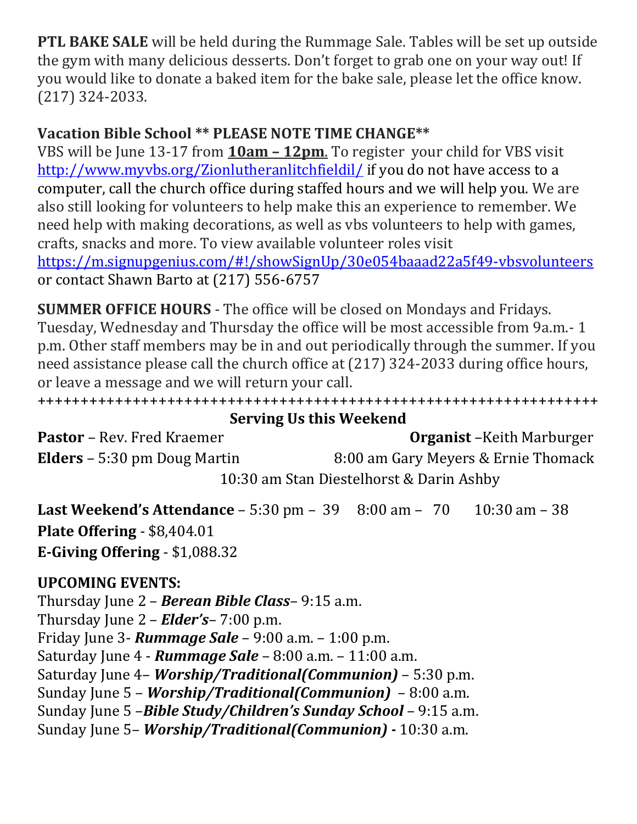**PTL BAKE SALE** will be held during the Rummage Sale. Tables will be set up outside the gym with many delicious desserts. Don't forget to grab one on your way out! If you would like to donate a baked item for the bake sale, please let the office know. (217) 324-2033.

## **Vacation Bible School \*\* PLEASE NOTE TIME CHANGE\*\***

VBS will be June 13-17 from **10am – 12pm**. To register your child for VBS visit <http://www.myvbs.org/Zionlutheranlitchfieldil/> if you do not have access to a computer, call the church office during staffed hours and we will help you. We are also still looking for volunteers to help make this an experience to remember. We need help with making decorations, as well as vbs volunteers to help with games, crafts, snacks and more. To view available volunteer roles visit <https://m.signupgenius.com/#!/showSignUp/30e054baaad22a5f49-vbsvolunteers> or contact Shawn Barto at (217) 556-6757

**SUMMER OFFICE HOURS** - The office will be closed on Mondays and Fridays. Tuesday, Wednesday and Thursday the office will be most accessible from 9a.m.- 1 p.m. Other staff members may be in and out periodically through the summer. If you need assistance please call the church office at (217) 324-2033 during office hours, or leave a message and we will return your call.

+++++++++++++++++++++++++++++++++++++++++++++++++++++++++++++++++

**Serving Us this Weekend Pastor** – Rev. Fred Kraemer **Organist** – Keith Marburger **Elders** – 5:30 pm Doug Martin 8:00 am Gary Meyers & Ernie Thomack

10:30 am Stan Diestelhorst & Darin Ashby

**Last Weekend's Attendance** – 5:30 pm – 39 8:00 am – 70 10:30 am – 38 **Plate Offering** - \$8,404.01 **E-Giving Offering** - \$1,088.32

## **UPCOMING EVENTS:**

Thursday June 2 – *Berean Bible Class*– 9:15 a.m. Thursday June 2 – *Elder's*– 7:00 p.m. Friday June 3- *Rummage Sale* – 9:00 a.m. – 1:00 p.m. Saturday June 4 - *Rummage Sale* – 8:00 a.m. – 11:00 a.m. Saturday June 4– *Worship/Traditional(Communion)* – 5:30 p.m. Sunday June 5 – *Worship/Traditional(Communion)* – 8:00 a.m. Sunday June 5 –*Bible Study/Children's Sunday School* – 9:15 a.m. Sunday June 5– *Worship/Traditional(Communion) -* 10:30 a.m.